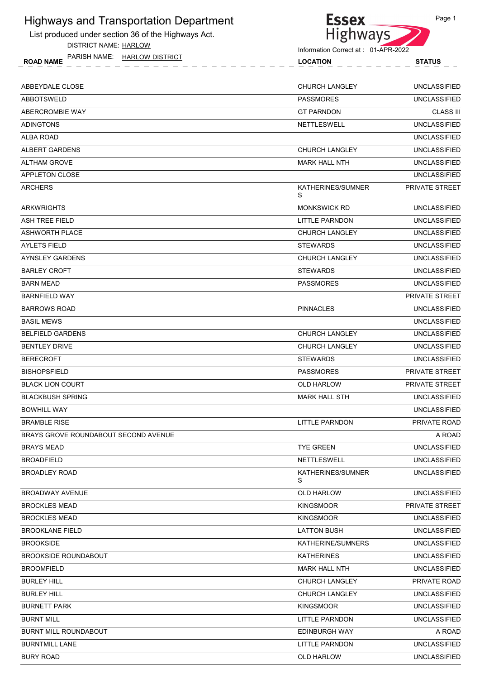List produced under section 36 of the Highways Act. DISTRICT NAME: HARLOW

ROAD NAME LOCATION STATUS PARISH NAME: HARLOW DISTRICT



Information Correct at : 01-APR-2022

| 2022 |               |
|------|---------------|
|      | <b>STATUS</b> |
|      |               |
|      | UNCLASSIFIEI  |

| ABBEYDALE CLOSE                      | <b>CHURCH LANGLEY</b>  | <b>UNCLASSIFIED</b>   |
|--------------------------------------|------------------------|-----------------------|
| <b>ABBOTSWELD</b>                    | <b>PASSMORES</b>       | <b>UNCLASSIFIED</b>   |
| ABERCROMBIE WAY                      | <b>GT PARNDON</b>      | <b>CLASS III</b>      |
| <b>ADINGTONS</b>                     | <b>NETTLESWELL</b>     | <b>UNCLASSIFIED</b>   |
| <b>ALBA ROAD</b>                     |                        | <b>UNCLASSIFIED</b>   |
| ALBERT GARDENS                       | <b>CHURCH LANGLEY</b>  | <b>UNCLASSIFIED</b>   |
| <b>ALTHAM GROVE</b>                  | <b>MARK HALL NTH</b>   | <b>UNCLASSIFIED</b>   |
| <b>APPLETON CLOSE</b>                |                        | <b>UNCLASSIFIED</b>   |
| <b>ARCHERS</b>                       | KATHERINES/SUMNER<br>S | PRIVATE STREET        |
| <b>ARKWRIGHTS</b>                    | <b>MONKSWICK RD</b>    | <b>UNCLASSIFIED</b>   |
| <b>ASH TREE FIELD</b>                | LITTLE PARNDON         | <b>UNCLASSIFIED</b>   |
| ASHWORTH PLACE                       | <b>CHURCH LANGLEY</b>  | <b>UNCLASSIFIED</b>   |
| <b>AYLETS FIELD</b>                  | <b>STEWARDS</b>        | <b>UNCLASSIFIED</b>   |
| AYNSLEY GARDENS                      | <b>CHURCH LANGLEY</b>  | <b>UNCLASSIFIED</b>   |
| <b>BARLEY CROFT</b>                  | <b>STEWARDS</b>        | <b>UNCLASSIFIED</b>   |
| <b>BARN MEAD</b>                     | <b>PASSMORES</b>       | <b>UNCLASSIFIED</b>   |
| <b>BARNFIELD WAY</b>                 |                        | PRIVATE STREET        |
| <b>BARROWS ROAD</b>                  | <b>PINNACLES</b>       | <b>UNCLASSIFIED</b>   |
| <b>BASIL MEWS</b>                    |                        | <b>UNCLASSIFIED</b>   |
| <b>BELFIELD GARDENS</b>              | <b>CHURCH LANGLEY</b>  | <b>UNCLASSIFIED</b>   |
| <b>BENTLEY DRIVE</b>                 | <b>CHURCH LANGLEY</b>  | <b>UNCLASSIFIED</b>   |
| <b>BERECROFT</b>                     | <b>STEWARDS</b>        | <b>UNCLASSIFIED</b>   |
| <b>BISHOPSFIELD</b>                  | <b>PASSMORES</b>       | PRIVATE STREET        |
| <b>BLACK LION COURT</b>              | <b>OLD HARLOW</b>      | <b>PRIVATE STREET</b> |
| <b>BLACKBUSH SPRING</b>              | <b>MARK HALL STH</b>   | <b>UNCLASSIFIED</b>   |
| <b>BOWHILL WAY</b>                   |                        | <b>UNCLASSIFIED</b>   |
| <b>BRAMBLE RISE</b>                  | <b>LITTLE PARNDON</b>  | <b>PRIVATE ROAD</b>   |
| BRAYS GROVE ROUNDABOUT SECOND AVENUE |                        | A ROAD                |
| <b>BRAYS MEAD</b>                    | <b>TYE GREEN</b>       | <b>UNCLASSIFIED</b>   |
| <b>BROADFIELD</b>                    | <b>NETTLESWELL</b>     | <b>UNCLASSIFIED</b>   |
| <b>BROADLEY ROAD</b>                 | KATHERINES/SUMNER<br>S | <b>UNCLASSIFIED</b>   |
| <b>BROADWAY AVENUE</b>               | OLD HARLOW             | <b>UNCLASSIFIED</b>   |
| <b>BROCKLES MEAD</b>                 | <b>KINGSMOOR</b>       | PRIVATE STREET        |
| <b>BROCKLES MEAD</b>                 | <b>KINGSMOOR</b>       | <b>UNCLASSIFIED</b>   |
| <b>BROOKLANE FIELD</b>               | <b>LATTON BUSH</b>     | <b>UNCLASSIFIED</b>   |
| <b>BROOKSIDE</b>                     | KATHERINE/SUMNERS      | <b>UNCLASSIFIED</b>   |
| <b>BROOKSIDE ROUNDABOUT</b>          | <b>KATHERINES</b>      | <b>UNCLASSIFIED</b>   |
| <b>BROOMFIELD</b>                    | <b>MARK HALL NTH</b>   | <b>UNCLASSIFIED</b>   |
| <b>BURLEY HILL</b>                   | <b>CHURCH LANGLEY</b>  | PRIVATE ROAD          |
| <b>BURLEY HILL</b>                   | <b>CHURCH LANGLEY</b>  | <b>UNCLASSIFIED</b>   |
| <b>BURNETT PARK</b>                  | <b>KINGSMOOR</b>       | <b>UNCLASSIFIED</b>   |
| <b>BURNT MILL</b>                    | LITTLE PARNDON         | <b>UNCLASSIFIED</b>   |
| <b>BURNT MILL ROUNDABOUT</b>         | EDINBURGH WAY          | A ROAD                |
| <b>BURNTMILL LANE</b>                | LITTLE PARNDON         | <b>UNCLASSIFIED</b>   |
| <b>BURY ROAD</b>                     | OLD HARLOW             | <b>UNCLASSIFIED</b>   |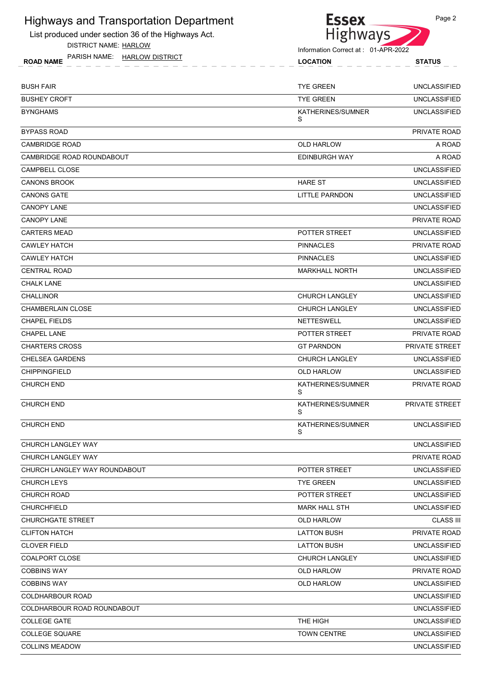List produced under section 36 of the Highways Act. DISTRICT NAME: HARLOW

ROAD NAME LOCATION STATUS PARISH NAME: HARLOW DISTRICT



Information Correct at : 01-APR-2022

|  | STATUS |  |
|--|--------|--|
|  |        |  |
|  |        |  |
|  |        |  |

| <b>BUSH FAIR</b>              | <b>TYE GREEN</b>       | <b>UNCLASSIFIED</b> |
|-------------------------------|------------------------|---------------------|
| <b>BUSHEY CROFT</b>           | <b>TYE GREEN</b>       | <b>UNCLASSIFIED</b> |
| <b>BYNGHAMS</b>               | KATHERINES/SUMNER<br>S | <b>UNCLASSIFIED</b> |
| <b>BYPASS ROAD</b>            |                        | PRIVATE ROAD        |
| <b>CAMBRIDGE ROAD</b>         | OLD HARLOW             | A ROAD              |
| CAMBRIDGE ROAD ROUNDABOUT     | EDINBURGH WAY          | A ROAD              |
| CAMPBELL CLOSE                |                        | <b>UNCLASSIFIED</b> |
| <b>CANONS BROOK</b>           | <b>HARE ST</b>         | <b>UNCLASSIFIED</b> |
| <b>CANONS GATE</b>            | <b>LITTLE PARNDON</b>  | <b>UNCLASSIFIED</b> |
| <b>CANOPY LANE</b>            |                        | <b>UNCLASSIFIED</b> |
| <b>CANOPY LANE</b>            |                        | PRIVATE ROAD        |
| <b>CARTERS MEAD</b>           | POTTER STREET          | <b>UNCLASSIFIED</b> |
| <b>CAWLEY HATCH</b>           | <b>PINNACLES</b>       | PRIVATE ROAD        |
| <b>CAWLEY HATCH</b>           | <b>PINNACLES</b>       | <b>UNCLASSIFIED</b> |
| <b>CENTRAL ROAD</b>           | <b>MARKHALL NORTH</b>  | <b>UNCLASSIFIED</b> |
| <b>CHALK LANE</b>             |                        | <b>UNCLASSIFIED</b> |
| <b>CHALLINOR</b>              | <b>CHURCH LANGLEY</b>  | <b>UNCLASSIFIED</b> |
| <b>CHAMBERLAIN CLOSE</b>      | <b>CHURCH LANGLEY</b>  | <b>UNCLASSIFIED</b> |
| <b>CHAPEL FIELDS</b>          | <b>NETTESWELL</b>      | <b>UNCLASSIFIED</b> |
| <b>CHAPEL LANE</b>            | POTTER STREET          | PRIVATE ROAD        |
| <b>CHARTERS CROSS</b>         | <b>GT PARNDON</b>      | PRIVATE STREET      |
| <b>CHELSEA GARDENS</b>        | <b>CHURCH LANGLEY</b>  | <b>UNCLASSIFIED</b> |
| <b>CHIPPINGFIELD</b>          | <b>OLD HARLOW</b>      | <b>UNCLASSIFIED</b> |
| <b>CHURCH END</b>             | KATHERINES/SUMNER<br>S | PRIVATE ROAD        |
| <b>CHURCH END</b>             | KATHERINES/SUMNER<br>S | PRIVATE STREET      |
| <b>CHURCH END</b>             | KATHERINES/SUMNER<br>S | <b>UNCLASSIFIED</b> |
| CHURCH LANGLEY WAY            |                        | <b>UNCLASSIFIED</b> |
| CHURCH LANGLEY WAY            |                        | PRIVATE ROAD        |
| CHURCH LANGLEY WAY ROUNDABOUT | POTTER STREET          | <b>UNCLASSIFIED</b> |
| <b>CHURCH LEYS</b>            | <b>TYE GREEN</b>       | <b>UNCLASSIFIED</b> |
| <b>CHURCH ROAD</b>            | POTTER STREET          | <b>UNCLASSIFIED</b> |
| <b>CHURCHFIELD</b>            | <b>MARK HALL STH</b>   | <b>UNCLASSIFIED</b> |
| <b>CHURCHGATE STREET</b>      | <b>OLD HARLOW</b>      | <b>CLASS III</b>    |
| <b>CLIFTON HATCH</b>          | <b>LATTON BUSH</b>     | PRIVATE ROAD        |
| <b>CLOVER FIELD</b>           | <b>LATTON BUSH</b>     | <b>UNCLASSIFIED</b> |
| COALPORT CLOSE                | <b>CHURCH LANGLEY</b>  | <b>UNCLASSIFIED</b> |
| <b>COBBINS WAY</b>            | <b>OLD HARLOW</b>      | PRIVATE ROAD        |
| <b>COBBINS WAY</b>            | <b>OLD HARLOW</b>      | <b>UNCLASSIFIED</b> |
| COLDHARBOUR ROAD              |                        | <b>UNCLASSIFIED</b> |
| COLDHARBOUR ROAD ROUNDABOUT   |                        | <b>UNCLASSIFIED</b> |
| <b>COLLEGE GATE</b>           | THE HIGH               | <b>UNCLASSIFIED</b> |
| <b>COLLEGE SQUARE</b>         | <b>TOWN CENTRE</b>     | <b>UNCLASSIFIED</b> |
| <b>COLLINS MEADOW</b>         |                        | <b>UNCLASSIFIED</b> |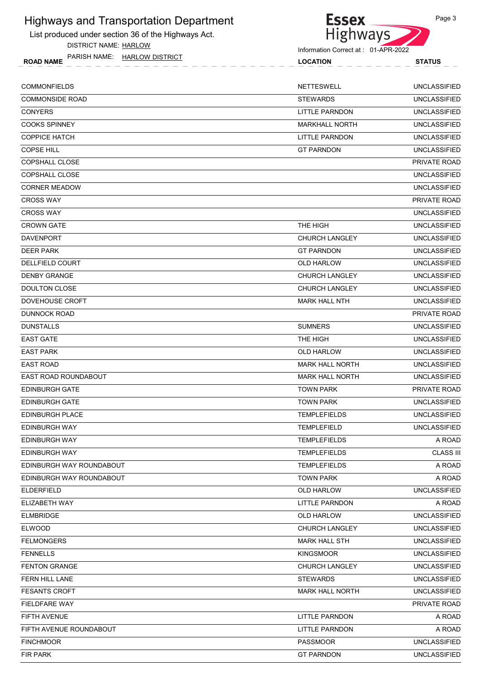List produced under section 36 of the Highways Act.

DISTRICT NAME: HARLOW

ROAD NAME LOCATION STATUS PARISH NAME: HARLOW DISTRICT



Information Correct at : 01-APR-2022

| <b>STATUS</b>     |
|-------------------|
| UNCLASSIFIED      |
| I INICI A COIEIEN |

| <b>COMMONFIELDS</b>      | <b>NETTESWELL</b>      | <b>UNCLASSIFIED</b> |
|--------------------------|------------------------|---------------------|
| <b>COMMONSIDE ROAD</b>   | <b>STEWARDS</b>        | <b>UNCLASSIFIED</b> |
| <b>CONYERS</b>           | LITTLE PARNDON         | <b>UNCLASSIFIED</b> |
| <b>COOKS SPINNEY</b>     | <b>MARKHALL NORTH</b>  | <b>UNCLASSIFIED</b> |
| <b>COPPICE HATCH</b>     | LITTLE PARNDON         | <b>UNCLASSIFIED</b> |
| <b>COPSE HILL</b>        | <b>GT PARNDON</b>      | <b>UNCLASSIFIED</b> |
| COPSHALL CLOSE           |                        | PRIVATE ROAD        |
| <b>COPSHALL CLOSE</b>    |                        | <b>UNCLASSIFIED</b> |
| <b>CORNER MEADOW</b>     |                        | <b>UNCLASSIFIED</b> |
| <b>CROSS WAY</b>         |                        | PRIVATE ROAD        |
| <b>CROSS WAY</b>         |                        | <b>UNCLASSIFIED</b> |
| <b>CROWN GATE</b>        | THE HIGH               | <b>UNCLASSIFIED</b> |
| DAVENPORT                | <b>CHURCH LANGLEY</b>  | <b>UNCLASSIFIED</b> |
| <b>DEER PARK</b>         | <b>GT PARNDON</b>      | <b>UNCLASSIFIED</b> |
| DELLFIELD COURT          | OLD HARLOW             | <b>UNCLASSIFIED</b> |
| <b>DENBY GRANGE</b>      | <b>CHURCH LANGLEY</b>  | <b>UNCLASSIFIED</b> |
| <b>DOULTON CLOSE</b>     | <b>CHURCH LANGLEY</b>  | <b>UNCLASSIFIED</b> |
| DOVEHOUSE CROFT          | MARK HALL NTH          | <b>UNCLASSIFIED</b> |
| <b>DUNNOCK ROAD</b>      |                        | PRIVATE ROAD        |
| <b>DUNSTALLS</b>         | <b>SUMNERS</b>         | <b>UNCLASSIFIED</b> |
| <b>EAST GATE</b>         | THE HIGH               | UNCLASSIFIED        |
| <b>EAST PARK</b>         | OLD HARLOW             | <b>UNCLASSIFIED</b> |
| <b>EAST ROAD</b>         | <b>MARK HALL NORTH</b> | <b>UNCLASSIFIED</b> |
| EAST ROAD ROUNDABOUT     | <b>MARK HALL NORTH</b> | <b>UNCLASSIFIED</b> |
| <b>EDINBURGH GATE</b>    | <b>TOWN PARK</b>       | PRIVATE ROAD        |
| <b>EDINBURGH GATE</b>    | <b>TOWN PARK</b>       | <b>UNCLASSIFIED</b> |
| <b>EDINBURGH PLACE</b>   | <b>TEMPLEFIELDS</b>    | <b>UNCLASSIFIED</b> |
| EDINBURGH WAY            | TEMPLEFIELD            | <b>UNCLASSIFIED</b> |
| EDINBURGH WAY            | <b>TEMPLEFIELDS</b>    | A ROAD              |
| <b>EDINBURGH WAY</b>     | <b>TEMPLEFIELDS</b>    | <b>CLASS III</b>    |
| EDINBURGH WAY ROUNDABOUT | <b>TEMPLEFIELDS</b>    | A ROAD              |
| EDINBURGH WAY ROUNDABOUT | <b>TOWN PARK</b>       | A ROAD              |
| <b>ELDERFIELD</b>        | OLD HARLOW             | UNCLASSIFIED        |
| ELIZABETH WAY            | <b>LITTLE PARNDON</b>  | A ROAD              |
| <b>ELMBRIDGE</b>         | OLD HARLOW             | <b>UNCLASSIFIED</b> |
| <b>ELWOOD</b>            | CHURCH LANGLEY         | <b>UNCLASSIFIED</b> |
| <b>FELMONGERS</b>        | <b>MARK HALL STH</b>   | UNCLASSIFIED        |
| <b>FENNELLS</b>          | <b>KINGSMOOR</b>       | <b>UNCLASSIFIED</b> |
| <b>FENTON GRANGE</b>     | <b>CHURCH LANGLEY</b>  | <b>UNCLASSIFIED</b> |
| FERN HILL LANE           | <b>STEWARDS</b>        | UNCLASSIFIED        |
| <b>FESANTS CROFT</b>     | <b>MARK HALL NORTH</b> | <b>UNCLASSIFIED</b> |
| <b>FIELDFARE WAY</b>     |                        | PRIVATE ROAD        |
| FIFTH AVENUE             | <b>LITTLE PARNDON</b>  | A ROAD              |
| FIFTH AVENUE ROUNDABOUT  | LITTLE PARNDON         | A ROAD              |
| <b>FINCHMOOR</b>         | <b>PASSMOOR</b>        | <b>UNCLASSIFIED</b> |
| FIR PARK                 | <b>GT PARNDON</b>      | <b>UNCLASSIFIED</b> |
|                          |                        |                     |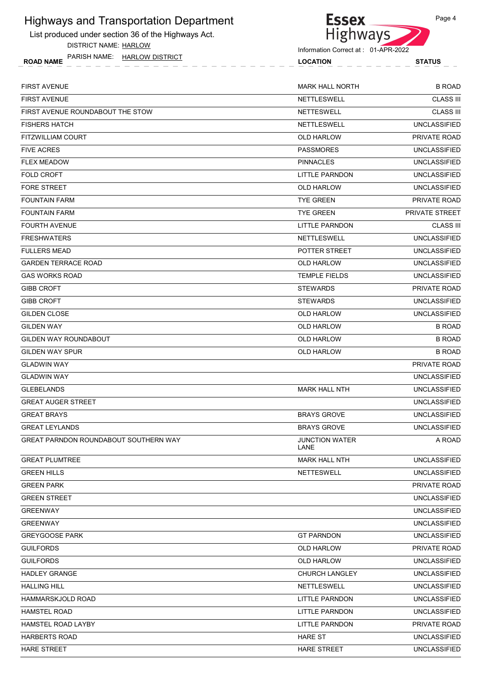List produced under section 36 of the Highways Act. DISTRICT NAME: HARLOW



**Essex** 

| <b>FIRST AVENUE</b>                          | <b>MARK HALL NORTH</b>        | <b>B ROAD</b>       |
|----------------------------------------------|-------------------------------|---------------------|
| <b>FIRST AVENUE</b>                          | <b>NETTLESWELL</b>            | <b>CLASS III</b>    |
| FIRST AVENUE ROUNDABOUT THE STOW             | <b>NETTESWELL</b>             | <b>CLASS III</b>    |
| <b>FISHERS HATCH</b>                         | NETTLESWELL                   | <b>UNCLASSIFIED</b> |
| <b>FITZWILLIAM COURT</b>                     | <b>OLD HARLOW</b>             | <b>PRIVATE ROAD</b> |
| <b>FIVE ACRES</b>                            | <b>PASSMORES</b>              | <b>UNCLASSIFIED</b> |
| <b>FLEX MEADOW</b>                           | <b>PINNACLES</b>              | <b>UNCLASSIFIED</b> |
| <b>FOLD CROFT</b>                            | LITTLE PARNDON                | <b>UNCLASSIFIED</b> |
| <b>FORE STREET</b>                           | <b>OLD HARLOW</b>             | <b>UNCLASSIFIED</b> |
| <b>FOUNTAIN FARM</b>                         | <b>TYE GREEN</b>              | PRIVATE ROAD        |
| <b>FOUNTAIN FARM</b>                         | <b>TYE GREEN</b>              | PRIVATE STREET      |
| <b>FOURTH AVENUE</b>                         | LITTLE PARNDON                | <b>CLASS III</b>    |
| <b>FRESHWATERS</b>                           | <b>NETTLESWELL</b>            | <b>UNCLASSIFIED</b> |
| <b>FULLERS MEAD</b>                          | POTTER STREET                 | <b>UNCLASSIFIED</b> |
| <b>GARDEN TERRACE ROAD</b>                   | <b>OLD HARLOW</b>             | <b>UNCLASSIFIED</b> |
| <b>GAS WORKS ROAD</b>                        | <b>TEMPLE FIELDS</b>          | <b>UNCLASSIFIED</b> |
| <b>GIBB CROFT</b>                            | <b>STEWARDS</b>               | PRIVATE ROAD        |
| <b>GIBB CROFT</b>                            | <b>STEWARDS</b>               | <b>UNCLASSIFIED</b> |
| <b>GILDEN CLOSE</b>                          | OLD HARLOW                    | <b>UNCLASSIFIED</b> |
| <b>GILDEN WAY</b>                            | OLD HARLOW                    | <b>B ROAD</b>       |
| GILDEN WAY ROUNDABOUT                        | OLD HARLOW                    | <b>B ROAD</b>       |
| <b>GILDEN WAY SPUR</b>                       | <b>OLD HARLOW</b>             | <b>B ROAD</b>       |
| <b>GLADWIN WAY</b>                           |                               | PRIVATE ROAD        |
| <b>GLADWIN WAY</b>                           |                               | <b>UNCLASSIFIED</b> |
| <b>GLEBELANDS</b>                            | <b>MARK HALL NTH</b>          | <b>UNCLASSIFIED</b> |
| <b>GREAT AUGER STREET</b>                    |                               | <b>UNCLASSIFIED</b> |
| <b>GREAT BRAYS</b>                           | <b>BRAYS GROVE</b>            | <b>UNCLASSIFIED</b> |
| <b>GREAT LEYLANDS</b>                        | <b>BRAYS GROVE</b>            | <b>UNCLASSIFIED</b> |
| <b>GREAT PARNDON ROUNDABOUT SOUTHERN WAY</b> | <b>JUNCTION WATER</b><br>LANE | A ROAD              |
| <b>GREAT PLUMTREE</b>                        | <b>MARK HALL NTH</b>          | <b>UNCLASSIFIED</b> |
| <b>GREEN HILLS</b>                           | <b>NETTESWELL</b>             | <b>UNCLASSIFIED</b> |
| <b>GREEN PARK</b>                            |                               | PRIVATE ROAD        |
| <b>GREEN STREET</b>                          |                               | <b>UNCLASSIFIED</b> |
| <b>GREENWAY</b>                              |                               | <b>UNCLASSIFIED</b> |
| <b>GREENWAY</b>                              |                               | <b>UNCLASSIFIED</b> |
| <b>GREYGOOSE PARK</b>                        | <b>GT PARNDON</b>             | <b>UNCLASSIFIED</b> |
| <b>GUILFORDS</b>                             | <b>OLD HARLOW</b>             | PRIVATE ROAD        |
| <b>GUILFORDS</b>                             | OLD HARLOW                    | <b>UNCLASSIFIED</b> |
| <b>HADLEY GRANGE</b>                         | <b>CHURCH LANGLEY</b>         | <b>UNCLASSIFIED</b> |
| <b>HALLING HILL</b>                          | <b>NETTLESWELL</b>            | <b>UNCLASSIFIED</b> |
| <b>HAMMARSKJOLD ROAD</b>                     | LITTLE PARNDON                | <b>UNCLASSIFIED</b> |
| <b>HAMSTEL ROAD</b>                          | LITTLE PARNDON                | <b>UNCLASSIFIED</b> |
| <b>HAMSTEL ROAD LAYBY</b>                    | LITTLE PARNDON                | PRIVATE ROAD        |
| <b>HARBERTS ROAD</b>                         | HARE ST                       | <b>UNCLASSIFIED</b> |
| <b>HARE STREET</b>                           | HARE STREET                   | <b>UNCLASSIFIED</b> |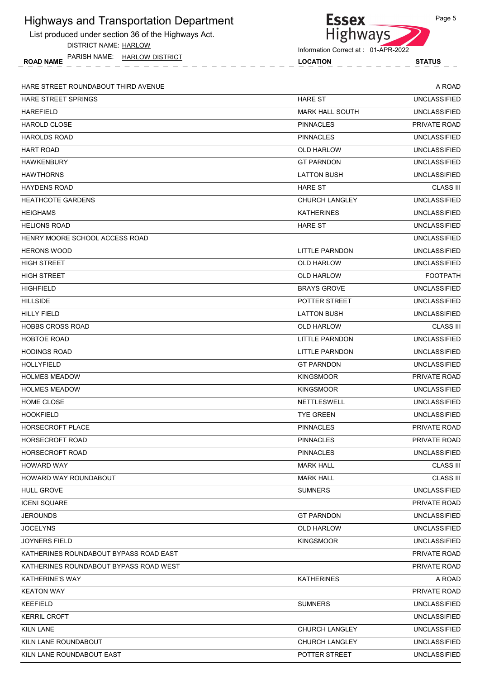List produced under section 36 of the Highways Act.

DISTRICT NAME: HARLOW

ROAD NAME LOCATION STATUS PARISH NAME: HARLOW DISTRICT



Information Correct at : 01-APR-2022

HARE STREET ROUNDABOUT THIRD AVENUE A ROAD

| <b>HARE STREET SPRINGS</b>             | <b>HARE ST</b>         | UNCLASSIFIED        |
|----------------------------------------|------------------------|---------------------|
| <b>HAREFIELD</b>                       | <b>MARK HALL SOUTH</b> | <b>UNCLASSIFIED</b> |
| <b>HAROLD CLOSE</b>                    | <b>PINNACLES</b>       | PRIVATE ROAD        |
| <b>HAROLDS ROAD</b>                    | <b>PINNACLES</b>       | <b>UNCLASSIFIED</b> |
| <b>HART ROAD</b>                       | <b>OLD HARLOW</b>      | <b>UNCLASSIFIED</b> |
| <b>HAWKENBURY</b>                      | <b>GT PARNDON</b>      | <b>UNCLASSIFIED</b> |
| <b>HAWTHORNS</b>                       | <b>LATTON BUSH</b>     | <b>UNCLASSIFIED</b> |
| <b>HAYDENS ROAD</b>                    | <b>HARE ST</b>         | <b>CLASS III</b>    |
| <b>HEATHCOTE GARDENS</b>               | <b>CHURCH LANGLEY</b>  | <b>UNCLASSIFIED</b> |
| <b>HEIGHAMS</b>                        | <b>KATHERINES</b>      | <b>UNCLASSIFIED</b> |
| <b>HELIONS ROAD</b>                    | <b>HARE ST</b>         | <b>UNCLASSIFIED</b> |
| HENRY MOORE SCHOOL ACCESS ROAD         |                        | <b>UNCLASSIFIED</b> |
| <b>HERONS WOOD</b>                     | LITTLE PARNDON         | <b>UNCLASSIFIED</b> |
| <b>HIGH STREET</b>                     | <b>OLD HARLOW</b>      | <b>UNCLASSIFIED</b> |
| <b>HIGH STREET</b>                     | <b>OLD HARLOW</b>      | <b>FOOTPATH</b>     |
| <b>HIGHFIELD</b>                       | <b>BRAYS GROVE</b>     | <b>UNCLASSIFIED</b> |
| <b>HILLSIDE</b>                        | POTTER STREET          | <b>UNCLASSIFIED</b> |
| <b>HILLY FIELD</b>                     | <b>LATTON BUSH</b>     | <b>UNCLASSIFIED</b> |
| <b>HOBBS CROSS ROAD</b>                | OLD HARLOW             | <b>CLASS III</b>    |
| <b>HOBTOE ROAD</b>                     | LITTLE PARNDON         | <b>UNCLASSIFIED</b> |
| <b>HODINGS ROAD</b>                    | LITTLE PARNDON         | <b>UNCLASSIFIED</b> |
| HOLLYFIELD                             | <b>GT PARNDON</b>      | <b>UNCLASSIFIED</b> |
| <b>HOLMES MEADOW</b>                   | <b>KINGSMOOR</b>       | PRIVATE ROAD        |
| <b>HOLMES MEADOW</b>                   | <b>KINGSMOOR</b>       | <b>UNCLASSIFIED</b> |
| HOME CLOSE                             | <b>NETTLESWELL</b>     | <b>UNCLASSIFIED</b> |
| <b>HOOKFIELD</b>                       | <b>TYE GREEN</b>       | <b>UNCLASSIFIED</b> |
| <b>HORSECROFT PLACE</b>                | <b>PINNACLES</b>       | <b>PRIVATE ROAD</b> |
| <b>HORSECROFT ROAD</b>                 | <b>PINNACLES</b>       | PRIVATE ROAD        |
| <b>HORSECROFT ROAD</b>                 | PINNACLES              | <b>UNCLASSIFIED</b> |
| <b>HOWARD WAY</b>                      | <b>MARK HALL</b>       | <b>CLASS III</b>    |
| HOWARD WAY ROUNDABOUT                  | <b>MARK HALL</b>       | <b>CLASS III</b>    |
| <b>HULL GROVE</b>                      | <b>SUMNERS</b>         | <b>UNCLASSIFIED</b> |
| <b>ICENI SQUARE</b>                    |                        | PRIVATE ROAD        |
| <b>JEROUNDS</b>                        | <b>GT PARNDON</b>      | <b>UNCLASSIFIED</b> |
| <b>JOCELYNS</b>                        | OLD HARLOW             | <b>UNCLASSIFIED</b> |
| <b>JOYNERS FIELD</b>                   | <b>KINGSMOOR</b>       | <b>UNCLASSIFIED</b> |
| KATHERINES ROUNDABOUT BYPASS ROAD EAST |                        | PRIVATE ROAD        |
| KATHERINES ROUNDABOUT BYPASS ROAD WEST |                        | PRIVATE ROAD        |
| <b>KATHERINE'S WAY</b>                 | <b>KATHERINES</b>      | A ROAD              |
| <b>KEATON WAY</b>                      |                        | PRIVATE ROAD        |
| <b>KEEFIELD</b>                        | <b>SUMNERS</b>         | <b>UNCLASSIFIED</b> |
| <b>KERRIL CROFT</b>                    |                        | <b>UNCLASSIFIED</b> |
| <b>KILN LANE</b>                       | <b>CHURCH LANGLEY</b>  | <b>UNCLASSIFIED</b> |
| KILN LANE ROUNDABOUT                   | <b>CHURCH LANGLEY</b>  | <b>UNCLASSIFIED</b> |
| KILN LANE ROUNDABOUT EAST              | POTTER STREET          | <b>UNCLASSIFIED</b> |
|                                        |                        |                     |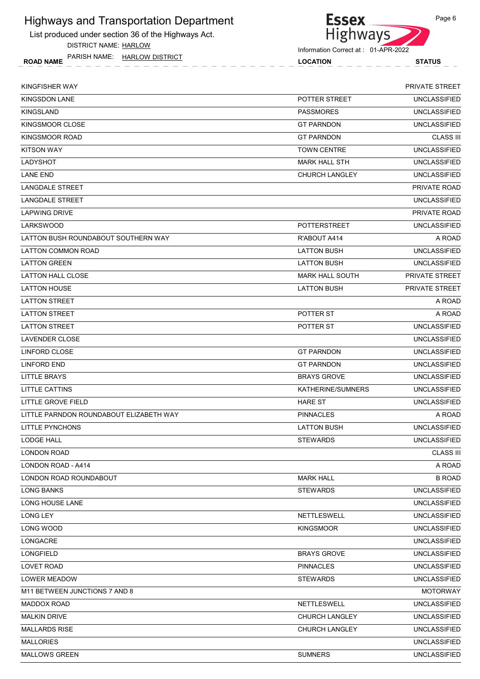List produced under section 36 of the Highways Act.

DISTRICT NAME: HARLOW

ROAD NAME LOCATION STATUS PARISH NAME: HARLOW DISTRICT



| KINGFISHER WAY                          |                        | <b>PRIVATE STREET</b> |
|-----------------------------------------|------------------------|-----------------------|
| <b>KINGSDON LANE</b>                    | POTTER STREET          | <b>UNCLASSIFIED</b>   |
| <b>KINGSLAND</b>                        | <b>PASSMORES</b>       | <b>UNCLASSIFIED</b>   |
| KINGSMOOR CLOSE                         | <b>GT PARNDON</b>      | <b>UNCLASSIFIED</b>   |
| KINGSMOOR ROAD                          | <b>GT PARNDON</b>      | <b>CLASS III</b>      |
| <b>KITSON WAY</b>                       | <b>TOWN CENTRE</b>     | <b>UNCLASSIFIED</b>   |
| LADYSHOT                                | <b>MARK HALL STH</b>   | <b>UNCLASSIFIED</b>   |
| <b>LANE END</b>                         | <b>CHURCH LANGLEY</b>  | <b>UNCLASSIFIED</b>   |
| <b>LANGDALE STREET</b>                  |                        | PRIVATE ROAD          |
| LANGDALE STREET                         |                        | <b>UNCLASSIFIED</b>   |
| <b>LAPWING DRIVE</b>                    |                        | <b>PRIVATE ROAD</b>   |
| <b>LARKSWOOD</b>                        | <b>POTTERSTREET</b>    | <b>UNCLASSIFIED</b>   |
| LATTON BUSH ROUNDABOUT SOUTHERN WAY     | R'ABOUT A414           | A ROAD                |
| <b>LATTON COMMON ROAD</b>               | <b>LATTON BUSH</b>     | <b>UNCLASSIFIED</b>   |
| <b>LATTON GREEN</b>                     | <b>LATTON BUSH</b>     | <b>UNCLASSIFIED</b>   |
| LATTON HALL CLOSE                       | <b>MARK HALL SOUTH</b> | <b>PRIVATE STREET</b> |
| <b>LATTON HOUSE</b>                     | <b>LATTON BUSH</b>     | <b>PRIVATE STREET</b> |
| <b>LATTON STREET</b>                    |                        | A ROAD                |
| <b>LATTON STREET</b>                    | POTTER ST              | A ROAD                |
| <b>LATTON STREET</b>                    | POTTER ST              | <b>UNCLASSIFIED</b>   |
| LAVENDER CLOSE                          |                        | <b>UNCLASSIFIED</b>   |
| LINFORD CLOSE                           | <b>GT PARNDON</b>      | <b>UNCLASSIFIED</b>   |
| LINFORD END                             | <b>GT PARNDON</b>      | <b>UNCLASSIFIED</b>   |
| LITTLE BRAYS                            | <b>BRAYS GROVE</b>     | <b>UNCLASSIFIED</b>   |
| LITTLE CATTINS                          | KATHERINE/SUMNERS      | <b>UNCLASSIFIED</b>   |
| LITTLE GROVE FIELD                      | <b>HARE ST</b>         | <b>UNCLASSIFIED</b>   |
| LITTLE PARNDON ROUNDABOUT ELIZABETH WAY | <b>PINNACLES</b>       | A ROAD                |
| LITTLE PYNCHONS                         | <b>LATTON BUSH</b>     | <b>UNCLASSIFIED</b>   |
| LODGE HALL                              | <b>STEWARDS</b>        | <b>UNCLASSIFIED</b>   |
| <b>LONDON ROAD</b>                      |                        | <b>CLASS III</b>      |
| LONDON ROAD - A414                      |                        | A ROAD                |
| LONDON ROAD ROUNDABOUT                  | <b>MARK HALL</b>       | <b>B ROAD</b>         |
| <b>LONG BANKS</b>                       | <b>STEWARDS</b>        | <b>UNCLASSIFIED</b>   |
| LONG HOUSE LANE                         |                        | <b>UNCLASSIFIED</b>   |
| <b>LONG LEY</b>                         | <b>NETTLESWELL</b>     | <b>UNCLASSIFIED</b>   |
| LONG WOOD                               | <b>KINGSMOOR</b>       | <b>UNCLASSIFIED</b>   |
| LONGACRE                                |                        | <b>UNCLASSIFIED</b>   |
| LONGFIELD                               | <b>BRAYS GROVE</b>     | <b>UNCLASSIFIED</b>   |
| LOVET ROAD                              | <b>PINNACLES</b>       | <b>UNCLASSIFIED</b>   |
| LOWER MEADOW                            | <b>STEWARDS</b>        | <b>UNCLASSIFIED</b>   |
| M11 BETWEEN JUNCTIONS 7 AND 8           |                        | <b>MOTORWAY</b>       |
| <b>MADDOX ROAD</b>                      | NETTLESWELL            | <b>UNCLASSIFIED</b>   |
| <b>MALKIN DRIVE</b>                     | <b>CHURCH LANGLEY</b>  | <b>UNCLASSIFIED</b>   |
| <b>MALLARDS RISE</b>                    | <b>CHURCH LANGLEY</b>  | <b>UNCLASSIFIED</b>   |
| <b>MALLORIES</b>                        |                        | <b>UNCLASSIFIED</b>   |
| <b>MALLOWS GREEN</b>                    | <b>SUMNERS</b>         | <b>UNCLASSIFIED</b>   |
|                                         |                        |                       |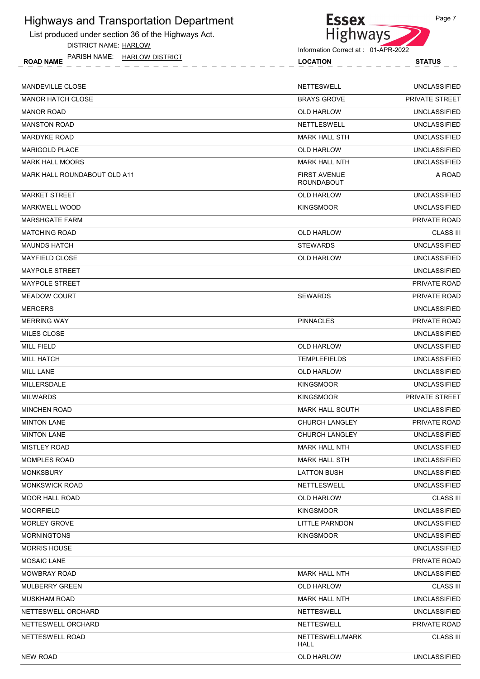List produced under section 36 of the Highways Act.

DISTRICT NAME: HARLOW



| <b>HARLOW DISTRICT</b><br>PARISH NAME:<br><b>ROAD NAME</b> | <b>LOCATION</b>                          | <b>STATUS</b>         |
|------------------------------------------------------------|------------------------------------------|-----------------------|
| MANDEVILLE CLOSE                                           | <b>NETTESWELL</b>                        | <b>UNCLASSIFIED</b>   |
| MANOR HATCH CLOSE                                          | <b>BRAYS GROVE</b>                       | <b>PRIVATE STREET</b> |
| MANOR ROAD                                                 | <b>OLD HARLOW</b>                        | <b>UNCLASSIFIED</b>   |
| MANSTON ROAD                                               | <b>NETTLESWELL</b>                       | <b>UNCLASSIFIED</b>   |
| MARDYKE ROAD                                               | <b>MARK HALL STH</b>                     | <b>UNCLASSIFIED</b>   |
| <b>MARIGOLD PLACE</b>                                      | <b>OLD HARLOW</b>                        | <b>UNCLASSIFIED</b>   |
| MARK HALL MOORS                                            | <b>MARK HALL NTH</b>                     | <b>UNCLASSIFIED</b>   |
| MARK HALL ROUNDABOUT OLD A11                               | <b>FIRST AVENUE</b><br><b>ROUNDABOUT</b> | A ROAD                |
| MARKET STREET                                              | <b>OLD HARLOW</b>                        | <b>UNCLASSIFIED</b>   |
| MARKWELL WOOD                                              | <b>KINGSMOOR</b>                         | <b>UNCLASSIFIED</b>   |
| MARSHGATE FARM                                             |                                          | PRIVATE ROAD          |
| MATCHING ROAD                                              | <b>OLD HARLOW</b>                        | <b>CLASS III</b>      |
| MAUNDS HATCH                                               | <b>STEWARDS</b>                          | <b>UNCLASSIFIED</b>   |
| MAYFIELD CLOSE                                             | <b>OLD HARLOW</b>                        | <b>UNCLASSIFIED</b>   |
| MAYPOLE STREET                                             |                                          | <b>UNCLASSIFIED</b>   |
| MAYPOLE STREET                                             |                                          | PRIVATE ROAD          |
| MEADOW COURT                                               | <b>SEWARDS</b>                           | <b>PRIVATE ROAD</b>   |
| MERCERS                                                    |                                          | <b>UNCLASSIFIED</b>   |
| MERRING WAY                                                | <b>PINNACLES</b>                         | PRIVATE ROAD          |
| MILES CLOSE                                                |                                          | <b>UNCLASSIFIED</b>   |
| MILL FIELD                                                 | <b>OLD HARLOW</b>                        | <b>UNCLASSIFIED</b>   |
| MILL HATCH                                                 | <b>TEMPLEFIELDS</b>                      | <b>UNCLASSIFIED</b>   |
| MILL LANE                                                  | <b>OLD HARLOW</b>                        | <b>UNCLASSIFIED</b>   |
| MILLERSDALE                                                | <b>KINGSMOOR</b>                         | <b>UNCLASSIFIED</b>   |
| MILWARDS                                                   | <b>KINGSMOOR</b>                         | PRIVATE STREET        |
| MINCHEN ROAD                                               | <b>MARK HALL SOUTH</b>                   | <b>UNCLASSIFIED</b>   |
| <b>MINTON LANE</b>                                         | <b>CHURCH LANGLEY</b>                    | PRIVATE ROAD          |
| <b>MINTON LANE</b>                                         | <b>CHURCH LANGLEY</b>                    | <b>UNCLASSIFIED</b>   |
| <b>MISTLEY ROAD</b>                                        | <b>MARK HALL NTH</b>                     | <b>UNCLASSIFIED</b>   |
| MOMPLES ROAD                                               | <b>MARK HALL STH</b>                     | <b>UNCLASSIFIED</b>   |
| MONKSBURY                                                  | <b>LATTON BUSH</b>                       | <b>UNCLASSIFIED</b>   |
| MONKSWICK ROAD                                             | <b>NETTLESWELL</b>                       | <b>UNCLASSIFIED</b>   |
| MOOR HALL ROAD                                             | <b>OLD HARLOW</b>                        | <b>CLASS III</b>      |
| MOORFIELD                                                  | <b>KINGSMOOR</b>                         | <b>UNCLASSIFIED</b>   |
| <b>MORLEY GROVE</b>                                        | <b>LITTLE PARNDON</b>                    | <b>UNCLASSIFIED</b>   |
| <b>MORNINGTONS</b>                                         | <b>KINGSMOOR</b>                         | <b>UNCLASSIFIED</b>   |
| MORRIS HOUSE                                               |                                          | <b>UNCLASSIFIED</b>   |
| MOSAIC LANE                                                |                                          | PRIVATE ROAD          |
| MOWBRAY ROAD                                               | <b>MARK HALL NTH</b>                     | <b>UNCLASSIFIED</b>   |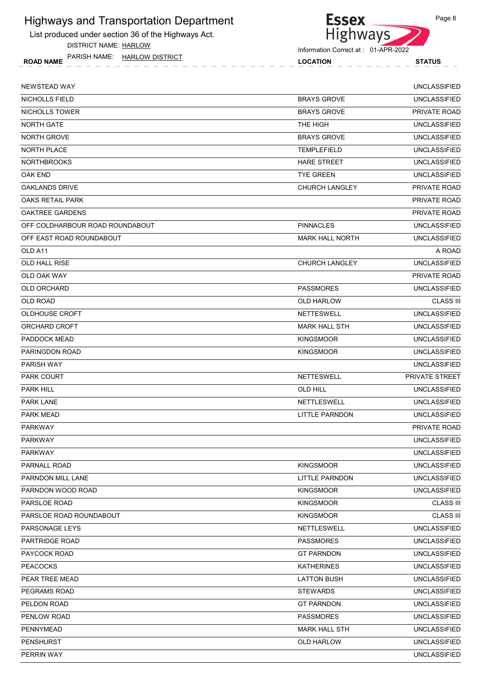List produced under section 36 of the Highways Act.

DISTRICT NAME: HARLOW



Information Correct at : 01-APR-2022

ROAD NAME LOCATION STATUS PARISH NAME: HARLOW DISTRICT

| NEWSTEAD WAY                    |                        | <b>UNCLASSIFIED</b> |
|---------------------------------|------------------------|---------------------|
| NICHOLLS FIELD                  | <b>BRAYS GROVE</b>     | <b>UNCLASSIFIED</b> |
| NICHOLLS TOWER                  | <b>BRAYS GROVE</b>     | PRIVATE ROAD        |
| NORTH GATE                      | THE HIGH               | <b>UNCLASSIFIED</b> |
| <b>NORTH GROVE</b>              | <b>BRAYS GROVE</b>     | <b>UNCLASSIFIED</b> |
| <b>NORTH PLACE</b>              | <b>TEMPLEFIELD</b>     | <b>UNCLASSIFIED</b> |
| <b>NORTHBROOKS</b>              | <b>HARE STREET</b>     | <b>UNCLASSIFIED</b> |
| OAK END                         | <b>TYE GREEN</b>       | <b>UNCLASSIFIED</b> |
| <b>OAKLANDS DRIVE</b>           | CHURCH LANGLEY         | PRIVATE ROAD        |
| OAKS RETAIL PARK                |                        | <b>PRIVATE ROAD</b> |
| <b>OAKTREE GARDENS</b>          |                        | <b>PRIVATE ROAD</b> |
| OFF COLDHARBOUR ROAD ROUNDABOUT | <b>PINNACLES</b>       | <b>UNCLASSIFIED</b> |
| OFF EAST ROAD ROUNDABOUT        | <b>MARK HALL NORTH</b> | <b>UNCLASSIFIED</b> |
| OLD A11                         |                        | A ROAD              |
| OLD HALL RISE                   | <b>CHURCH LANGLEY</b>  | <b>UNCLASSIFIED</b> |
| <b>OLD OAK WAY</b>              |                        | PRIVATE ROAD        |
| <b>OLD ORCHARD</b>              | <b>PASSMORES</b>       | <b>UNCLASSIFIED</b> |
| <b>OLD ROAD</b>                 | OLD HARLOW             | <b>CLASS III</b>    |
| <b>OLDHOUSE CROFT</b>           | <b>NETTESWELL</b>      | <b>UNCLASSIFIED</b> |
| ORCHARD CROFT                   | <b>MARK HALL STH</b>   | <b>UNCLASSIFIED</b> |
| PADDOCK MEAD                    | <b>KINGSMOOR</b>       | <b>UNCLASSIFIED</b> |
| PARINGDON ROAD                  | <b>KINGSMOOR</b>       | <b>UNCLASSIFIED</b> |
| PARISH WAY                      |                        | <b>UNCLASSIFIED</b> |
| <b>PARK COURT</b>               | <b>NETTESWELL</b>      | PRIVATE STREET      |
| <b>PARK HILL</b>                | OLD HILL               | <b>UNCLASSIFIED</b> |
| <b>PARK LANE</b>                | <b>NETTLESWELL</b>     | <b>UNCLASSIFIED</b> |
| <b>PARK MEAD</b>                | <b>LITTLE PARNDON</b>  | <b>UNCLASSIFIED</b> |
| <b>PARKWAY</b>                  |                        | PRIVATE ROAD        |
| <b>PARKWAY</b>                  |                        | <b>UNCLASSIFIED</b> |
| <b>PARKWAY</b>                  |                        | <b>UNCLASSIFIED</b> |
| PARNALL ROAD                    | <b>KINGSMOOR</b>       | <b>UNCLASSIFIED</b> |
| PARNDON MILL LANE               | <b>LITTLE PARNDON</b>  | <b>UNCLASSIFIED</b> |
| PARNDON WOOD ROAD               | <b>KINGSMOOR</b>       | <b>UNCLASSIFIED</b> |
| PARSLOE ROAD                    | <b>KINGSMOOR</b>       | <b>CLASS III</b>    |
| PARSLOE ROAD ROUNDABOUT         | <b>KINGSMOOR</b>       | <b>CLASS III</b>    |
| PARSONAGE LEYS                  | NETTLESWELL            | <b>UNCLASSIFIED</b> |
| PARTRIDGE ROAD                  | <b>PASSMORES</b>       | <b>UNCLASSIFIED</b> |
| PAYCOCK ROAD                    | <b>GT PARNDON</b>      | <b>UNCLASSIFIED</b> |
| <b>PEACOCKS</b>                 | <b>KATHERINES</b>      | <b>UNCLASSIFIED</b> |
| PEAR TREE MEAD                  | <b>LATTON BUSH</b>     | <b>UNCLASSIFIED</b> |
| PEGRAMS ROAD                    | <b>STEWARDS</b>        | <b>UNCLASSIFIED</b> |
| PELDON ROAD                     | <b>GT PARNDON</b>      | <b>UNCLASSIFIED</b> |
| PENLOW ROAD                     | <b>PASSMORES</b>       | <b>UNCLASSIFIED</b> |
| PENNYMEAD                       | <b>MARK HALL STH</b>   | <b>UNCLASSIFIED</b> |
| PENSHURST                       | OLD HARLOW             | <b>UNCLASSIFIED</b> |
| PERRIN WAY                      |                        | <b>UNCLASSIFIED</b> |
|                                 |                        |                     |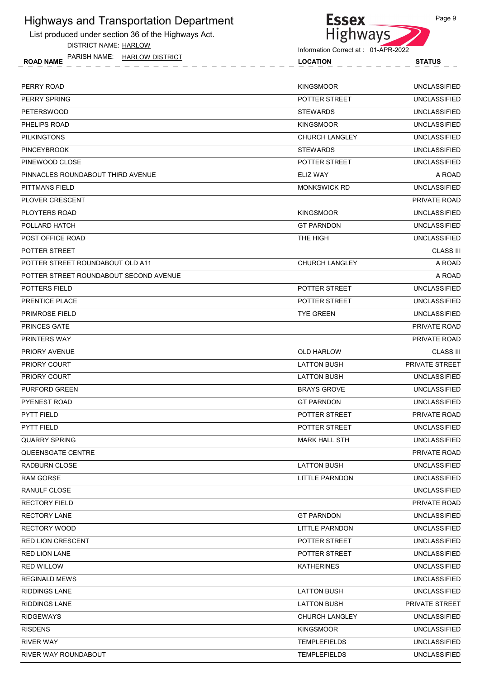List produced under section 36 of the Highways Act. DISTRICT NAME: HARLOW

ROAD NAME LOCATION STATUS PARISH NAME: HARLOW DISTRICT



| <b>AINOLLINAIVIL.</b><br><b>IMBOY DIGITIO</b><br><b>ROAD NAME</b> | <b>LOCATION</b>      | <b>STATUS</b> |
|-------------------------------------------------------------------|----------------------|---------------|
| PERRY ROAD                                                        | <b>KINGSMOOR</b>     | UNCLASSIFIED  |
| PERRY SPRING                                                      | <b>POTTER STREET</b> | UNCLASSIFIED  |
| PETERSWOOD                                                        | <b>STEWARDS</b>      | UNCLASSIFIED  |
|                                                                   |                      |               |

| <b>PETERSWOOD</b>                      | <b>STEWARDS</b>       | <b>UNCLASSIFIED</b> |
|----------------------------------------|-----------------------|---------------------|
| PHELIPS ROAD                           | <b>KINGSMOOR</b>      | <b>UNCLASSIFIED</b> |
| <b>PILKINGTONS</b>                     | <b>CHURCH LANGLEY</b> | <b>UNCLASSIFIED</b> |
| <b>PINCEYBROOK</b>                     | <b>STEWARDS</b>       | <b>UNCLASSIFIED</b> |
| PINEWOOD CLOSE                         | POTTER STREET         | <b>UNCLASSIFIED</b> |
| PINNACLES ROUNDABOUT THIRD AVENUE      | ELIZ WAY              | A ROAD              |
| PITTMANS FIELD                         | <b>MONKSWICK RD</b>   | <b>UNCLASSIFIED</b> |
| PLOVER CRESCENT                        |                       | PRIVATE ROAD        |
| PLOYTERS ROAD                          | <b>KINGSMOOR</b>      | <b>UNCLASSIFIED</b> |
| POLLARD HATCH                          | <b>GT PARNDON</b>     | <b>UNCLASSIFIED</b> |
| POST OFFICE ROAD                       | THE HIGH              | <b>UNCLASSIFIED</b> |
| POTTER STREET                          |                       | <b>CLASS III</b>    |
| POTTER STREET ROUNDABOUT OLD A11       | <b>CHURCH LANGLEY</b> | A ROAD              |
| POTTER STREET ROUNDABOUT SECOND AVENUE |                       | A ROAD              |
| POTTERS FIELD                          | POTTER STREET         | <b>UNCLASSIFIED</b> |
| PRENTICE PLACE                         | POTTER STREET         | <b>UNCLASSIFIED</b> |
| <b>PRIMROSE FIELD</b>                  | <b>TYE GREEN</b>      | <b>UNCLASSIFIED</b> |
| PRINCES GATE                           |                       | PRIVATE ROAD        |
| <b>PRINTERS WAY</b>                    |                       | PRIVATE ROAD        |
| <b>PRIORY AVENUE</b>                   | <b>OLD HARLOW</b>     | <b>CLASS III</b>    |
| PRIORY COURT                           | <b>LATTON BUSH</b>    | PRIVATE STREET      |
| <b>PRIORY COURT</b>                    | <b>LATTON BUSH</b>    | <b>UNCLASSIFIED</b> |
| <b>PURFORD GREEN</b>                   | <b>BRAYS GROVE</b>    | <b>UNCLASSIFIED</b> |
| <b>PYENEST ROAD</b>                    | <b>GT PARNDON</b>     | <b>UNCLASSIFIED</b> |
| <b>PYTT FIELD</b>                      | POTTER STREET         | PRIVATE ROAD        |
| PYTT FIELD                             | POTTER STREET         | <b>UNCLASSIFIED</b> |
| <b>QUARRY SPRING</b>                   | <b>MARK HALL STH</b>  | <b>UNCLASSIFIED</b> |
| <b>QUEENSGATE CENTRE</b>               |                       | PRIVATE ROAD        |
| RADBURN CLOSE                          | <b>LATTON BUSH</b>    | UNCLASSIFIED        |
| <b>RAM GORSE</b>                       | <b>LITTLE PARNDON</b> | <b>UNCLASSIFIED</b> |
| RANULF CLOSE                           |                       | <b>UNCLASSIFIED</b> |
| <b>RECTORY FIELD</b>                   |                       | PRIVATE ROAD        |
| <b>RECTORY LANE</b>                    | <b>GT PARNDON</b>     | <b>UNCLASSIFIED</b> |
| <b>RECTORY WOOD</b>                    | <b>LITTLE PARNDON</b> | <b>UNCLASSIFIED</b> |
| <b>RED LION CRESCENT</b>               | POTTER STREET         | <b>UNCLASSIFIED</b> |
| <b>RED LION LANE</b>                   | POTTER STREET         | <b>UNCLASSIFIED</b> |
| <b>RED WILLOW</b>                      | <b>KATHERINES</b>     | <b>UNCLASSIFIED</b> |
| <b>REGINALD MEWS</b>                   |                       | <b>UNCLASSIFIED</b> |
| <b>RIDDINGS LANE</b>                   | <b>LATTON BUSH</b>    | <b>UNCLASSIFIED</b> |
| <b>RIDDINGS LANE</b>                   | <b>LATTON BUSH</b>    | PRIVATE STREET      |
| <b>RIDGEWAYS</b>                       | CHURCH LANGLEY        | <b>UNCLASSIFIED</b> |
| <b>RISDENS</b>                         | <b>KINGSMOOR</b>      | <b>UNCLASSIFIED</b> |
| <b>RIVER WAY</b>                       | <b>TEMPLEFIELDS</b>   | <b>UNCLASSIFIED</b> |
| RIVER WAY ROUNDABOUT                   | <b>TEMPLEFIELDS</b>   | <b>UNCLASSIFIED</b> |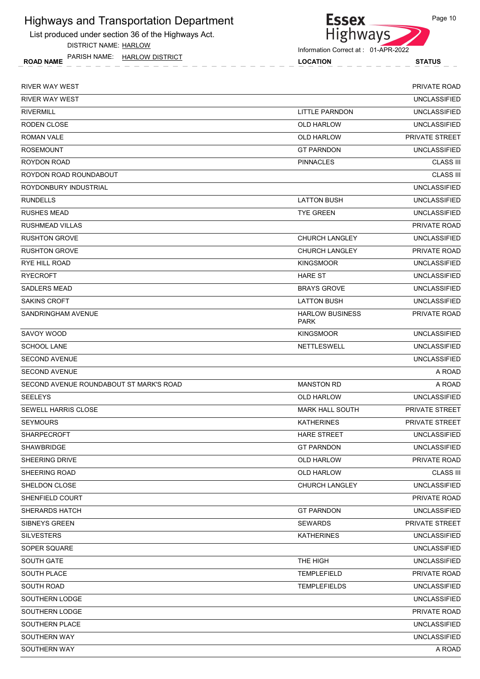List produced under section 36 of the Highways Act.

DISTRICT NAME: HARLOW

ROAD NAME LOCATION STATUS PARISH NAME: HARLOW DISTRICT



| <b>RIVER WAY WEST</b>                   |                                       | <b>PRIVATE ROAD</b>   |
|-----------------------------------------|---------------------------------------|-----------------------|
| <b>RIVER WAY WEST</b>                   |                                       | <b>UNCLASSIFIED</b>   |
| <b>RIVERMILL</b>                        | LITTLE PARNDON                        | <b>UNCLASSIFIED</b>   |
| RODEN CLOSE                             | <b>OLD HARLOW</b>                     | <b>UNCLASSIFIED</b>   |
| <b>ROMAN VALE</b>                       | <b>OLD HARLOW</b>                     | PRIVATE STREET        |
| <b>ROSEMOUNT</b>                        | <b>GT PARNDON</b>                     | <b>UNCLASSIFIED</b>   |
| ROYDON ROAD                             | <b>PINNACLES</b>                      | <b>CLASS III</b>      |
| ROYDON ROAD ROUNDABOUT                  |                                       | <b>CLASS III</b>      |
| ROYDONBURY INDUSTRIAL                   |                                       | <b>UNCLASSIFIED</b>   |
| <b>RUNDELLS</b>                         | <b>LATTON BUSH</b>                    | <b>UNCLASSIFIED</b>   |
| <b>RUSHES MEAD</b>                      | <b>TYE GREEN</b>                      | <b>UNCLASSIFIED</b>   |
| <b>RUSHMEAD VILLAS</b>                  |                                       | PRIVATE ROAD          |
| <b>RUSHTON GROVE</b>                    | <b>CHURCH LANGLEY</b>                 | <b>UNCLASSIFIED</b>   |
| <b>RUSHTON GROVE</b>                    | <b>CHURCH LANGLEY</b>                 | PRIVATE ROAD          |
| <b>RYE HILL ROAD</b>                    | <b>KINGSMOOR</b>                      | <b>UNCLASSIFIED</b>   |
| <b>RYECROFT</b>                         | <b>HARE ST</b>                        | <b>UNCLASSIFIED</b>   |
| <b>SADLERS MEAD</b>                     | <b>BRAYS GROVE</b>                    | <b>UNCLASSIFIED</b>   |
| <b>SAKINS CROFT</b>                     | <b>LATTON BUSH</b>                    | <b>UNCLASSIFIED</b>   |
| SANDRINGHAM AVENUE                      | <b>HARLOW BUSINESS</b><br><b>PARK</b> | PRIVATE ROAD          |
| SAVOY WOOD                              | <b>KINGSMOOR</b>                      | <b>UNCLASSIFIED</b>   |
| <b>SCHOOL LANE</b>                      | NETTLESWELL                           | <b>UNCLASSIFIED</b>   |
| <b>SECOND AVENUE</b>                    |                                       | <b>UNCLASSIFIED</b>   |
| <b>SECOND AVENUE</b>                    |                                       | A ROAD                |
| SECOND AVENUE ROUNDABOUT ST MARK'S ROAD | <b>MANSTON RD</b>                     | A ROAD                |
| <b>SEELEYS</b>                          | <b>OLD HARLOW</b>                     | <b>UNCLASSIFIED</b>   |
| <b>SEWELL HARRIS CLOSE</b>              | <b>MARK HALL SOUTH</b>                | <b>PRIVATE STREET</b> |
| <b>SEYMOURS</b>                         | <b>KATHERINES</b>                     | PRIVATE STREET        |
| <b>SHARPECROFT</b>                      | <b>HARE STREET</b>                    | <b>UNCLASSIFIED</b>   |
| SHAWBRIDGE                              | <b>GT PARNDON</b>                     | <b>UNCLASSIFIED</b>   |
| SHEERING DRIVE                          | <b>OLD HARLOW</b>                     | PRIVATE ROAD          |
| SHEERING ROAD                           | OLD HARLOW                            | <b>CLASS III</b>      |
| SHELDON CLOSE                           | <b>CHURCH LANGLEY</b>                 | <b>UNCLASSIFIED</b>   |
| SHENFIELD COURT                         |                                       | PRIVATE ROAD          |
| SHERARDS HATCH                          | <b>GT PARNDON</b>                     | <b>UNCLASSIFIED</b>   |
| <b>SIBNEYS GREEN</b>                    | <b>SEWARDS</b>                        | PRIVATE STREET        |
| <b>SILVESTERS</b>                       | <b>KATHERINES</b>                     | <b>UNCLASSIFIED</b>   |
| SOPER SQUARE                            |                                       | <b>UNCLASSIFIED</b>   |
| <b>SOUTH GATE</b>                       | THE HIGH                              | <b>UNCLASSIFIED</b>   |
| SOUTH PLACE                             | <b>TEMPLEFIELD</b>                    | PRIVATE ROAD          |
| SOUTH ROAD                              | <b>TEMPLEFIELDS</b>                   | <b>UNCLASSIFIED</b>   |
| SOUTHERN LODGE                          |                                       | <b>UNCLASSIFIED</b>   |
| SOUTHERN LODGE                          |                                       | PRIVATE ROAD          |
| SOUTHERN PLACE                          |                                       | <b>UNCLASSIFIED</b>   |
| SOUTHERN WAY                            |                                       | <b>UNCLASSIFIED</b>   |
| SOUTHERN WAY                            |                                       | A ROAD                |
|                                         |                                       |                       |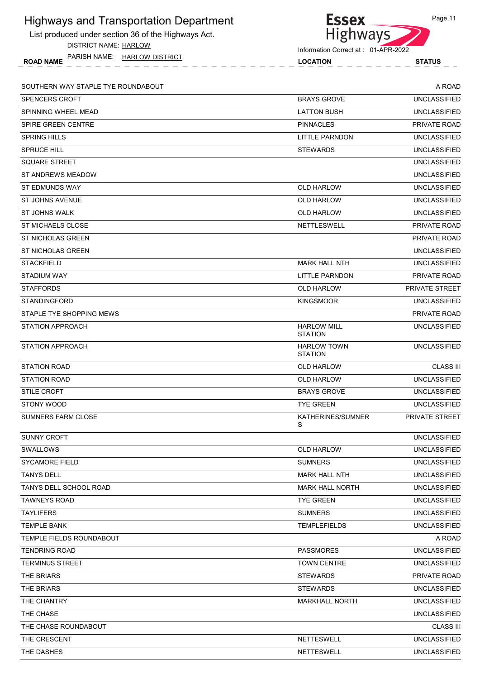| <b>Highways and Transportation Department</b>              | <b>Essex</b>                         | Page 11             |
|------------------------------------------------------------|--------------------------------------|---------------------|
| List produced under section 36 of the Highways Act.        | <b>Highways</b>                      |                     |
| <b>DISTRICT NAME: HARLOW</b>                               | Information Correct at: 01-APR-2022  |                     |
| PARISH NAME:<br><b>HARLOW DISTRICT</b><br><b>ROAD NAME</b> | <b>LOCATION</b>                      | <b>STATUS</b>       |
| SOUTHERN WAY STAPLE TYE ROUNDABOUT                         |                                      | A ROAD              |
| <b>SPENCERS CROFT</b>                                      | <b>BRAYS GROVE</b>                   | <b>UNCLASSIFIED</b> |
| SPINNING WHEEL MEAD                                        | <b>LATTON BUSH</b>                   | <b>UNCLASSIFIED</b> |
| SPIRE GREEN CENTRE                                         | <b>PINNACLES</b>                     | PRIVATE ROAD        |
| <b>SPRING HILLS</b>                                        | LITTLE PARNDON                       | <b>UNCLASSIFIED</b> |
| <b>SPRUCE HILL</b>                                         | <b>STEWARDS</b>                      | <b>UNCLASSIFIED</b> |
| <b>SQUARE STREET</b>                                       |                                      | <b>UNCLASSIFIED</b> |
| ST ANDREWS MEADOW                                          |                                      | <b>UNCLASSIFIED</b> |
| <b>ST EDMUNDS WAY</b>                                      | <b>OLD HARLOW</b>                    | <b>UNCLASSIFIED</b> |
| <b>ST JOHNS AVENUE</b>                                     | OLD HARLOW                           | <b>UNCLASSIFIED</b> |
| ST JOHNS WALK                                              | OLD HARLOW                           | <b>UNCLASSIFIED</b> |
| <b>ST MICHAELS CLOSE</b>                                   | NETTLESWELL                          | PRIVATE ROAD        |
| ST NICHOLAS GREEN                                          |                                      | PRIVATE ROAD        |
| ST NICHOLAS GREEN                                          |                                      | <b>UNCLASSIFIED</b> |
| <b>STACKFIELD</b>                                          | <b>MARK HALL NTH</b>                 | <b>UNCLASSIFIED</b> |
| STADIUM WAY                                                | LITTLE PARNDON                       | PRIVATE ROAD        |
| <b>STAFFORDS</b>                                           | <b>OLD HARLOW</b>                    | PRIVATE STREET      |
| <b>STANDINGFORD</b>                                        | <b>KINGSMOOR</b>                     | <b>UNCLASSIFIED</b> |
| STAPLE TYE SHOPPING MEWS                                   |                                      | PRIVATE ROAD        |
| <b>STATION APPROACH</b>                                    | <b>HARLOW MILL</b><br><b>STATION</b> | <b>UNCLASSIFIED</b> |
| <b>STATION APPROACH</b>                                    | <b>HARLOW TOWN</b><br><b>STATION</b> | <b>UNCLASSIFIED</b> |
| <b>STATION ROAD</b>                                        | <b>OLD HARLOW</b>                    | <b>CLASS III</b>    |
| <b>STATION ROAD</b>                                        | OLD HARLOW                           | <b>UNCLASSIFIED</b> |
| <b>STILE CROFT</b>                                         | <b>BRAYS GROVE</b>                   | <b>UNCLASSIFIED</b> |
| STONY WOOD                                                 | <b>TYE GREEN</b>                     | <b>UNCLASSIFIED</b> |
| <b>SUMNERS FARM CLOSE</b>                                  | KATHERINES/SUMNER<br>S               | PRIVATE STREET      |
| <b>SUNNY CROFT</b>                                         |                                      | <b>UNCLASSIFIED</b> |
| <b>SWALLOWS</b>                                            | OLD HARLOW                           | <b>UNCLASSIFIED</b> |
| <b>SYCAMORE FIELD</b>                                      | <b>SUMNERS</b>                       | <b>UNCLASSIFIED</b> |
| <b>TANYS DELL</b>                                          | <b>MARK HALL NTH</b>                 | <b>UNCLASSIFIED</b> |
| TANYS DELL SCHOOL ROAD                                     | <b>MARK HALL NORTH</b>               | <b>UNCLASSIFIED</b> |
| <b>TAWNEYS ROAD</b>                                        | <b>TYE GREEN</b>                     | <b>UNCLASSIFIED</b> |
| <b>TAYLIFERS</b>                                           | <b>SUMNERS</b>                       | <b>UNCLASSIFIED</b> |
| <b>TEMPLE BANK</b>                                         | <b>TEMPLEFIELDS</b>                  | <b>UNCLASSIFIED</b> |
| TEMPLE FIELDS ROUNDABOUT                                   |                                      | A ROAD              |
| <b>TENDRING ROAD</b>                                       | <b>PASSMORES</b>                     | <b>UNCLASSIFIED</b> |
| <b>TERMINUS STREET</b>                                     | <b>TOWN CENTRE</b>                   | <b>UNCLASSIFIED</b> |
| THE BRIARS                                                 | <b>STEWARDS</b>                      | PRIVATE ROAD        |
| THE BRIARS                                                 | <b>STEWARDS</b>                      | <b>UNCLASSIFIED</b> |
| THE CHANTRY                                                | <b>MARKHALL NORTH</b>                | <b>UNCLASSIFIED</b> |
| THE CHASE                                                  |                                      | <b>UNCLASSIFIED</b> |
| THE CHASE ROUNDABOUT                                       |                                      | <b>CLASS III</b>    |
| THE CRESCENT                                               | NETTESWELL                           | <b>UNCLASSIFIED</b> |
| THE DASHES                                                 | NETTESWELL                           | <b>UNCLASSIFIED</b> |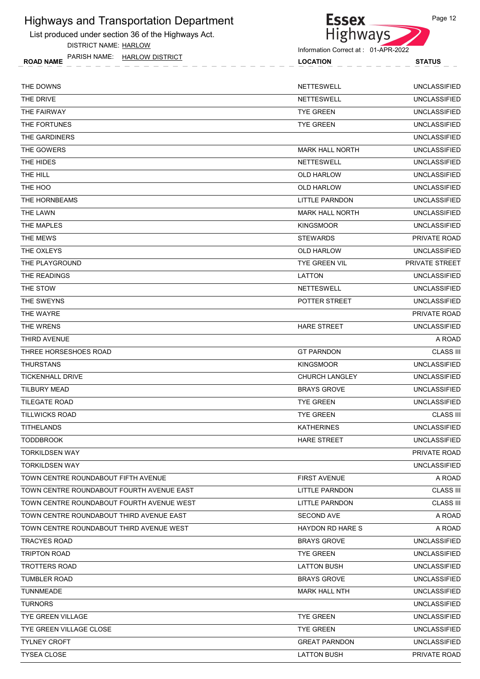List produced under section 36 of the Highways Act.

DISTRICT NAME: HARLOW

ROAD NAME LOCATION STATUS PARISH NAME: HARLOW DISTRICT



Information Correct at : 01-APR-2022

| <b>STATUS</b>            |  |
|--------------------------|--|
| $\overline{\phantom{a}}$ |  |
|                          |  |
|                          |  |
|                          |  |

| THE DOWNS                                 | <b>NETTESWELL</b>       | <b>UNCLASSIFIED</b> |
|-------------------------------------------|-------------------------|---------------------|
| THE DRIVE                                 | <b>NETTESWELL</b>       | <b>UNCLASSIFIED</b> |
| THE FAIRWAY                               | <b>TYE GREEN</b>        | <b>UNCLASSIFIED</b> |
| THE FORTUNES                              | <b>TYE GREEN</b>        | <b>UNCLASSIFIED</b> |
| THE GARDINERS                             |                         | <b>UNCLASSIFIED</b> |
| THE GOWERS                                | <b>MARK HALL NORTH</b>  | <b>UNCLASSIFIED</b> |
| THE HIDES                                 | <b>NETTESWELL</b>       | <b>UNCLASSIFIED</b> |
| THE HILL                                  | <b>OLD HARLOW</b>       | <b>UNCLASSIFIED</b> |
| THE HOO                                   | <b>OLD HARLOW</b>       | <b>UNCLASSIFIED</b> |
| THE HORNBEAMS                             | LITTLE PARNDON          | <b>UNCLASSIFIED</b> |
| THE LAWN                                  | <b>MARK HALL NORTH</b>  | <b>UNCLASSIFIED</b> |
| THE MAPLES                                | <b>KINGSMOOR</b>        | <b>UNCLASSIFIED</b> |
| THE MEWS                                  | <b>STEWARDS</b>         | <b>PRIVATE ROAD</b> |
| THE OXLEYS                                | <b>OLD HARLOW</b>       | <b>UNCLASSIFIED</b> |
| THE PLAYGROUND                            | <b>TYE GREEN VIL</b>    | PRIVATE STREET      |
| THE READINGS                              | LATTON                  | <b>UNCLASSIFIED</b> |
| THE STOW                                  | <b>NETTESWELL</b>       | <b>UNCLASSIFIED</b> |
| THE SWEYNS                                | POTTER STREET           | <b>UNCLASSIFIED</b> |
| THE WAYRE                                 |                         | PRIVATE ROAD        |
| THE WRENS                                 | <b>HARE STREET</b>      | <b>UNCLASSIFIED</b> |
| THIRD AVENUE                              |                         | A ROAD              |
| THREE HORSESHOES ROAD                     | <b>GT PARNDON</b>       | <b>CLASS III</b>    |
| <b>THURSTANS</b>                          | <b>KINGSMOOR</b>        | <b>UNCLASSIFIED</b> |
| <b>TICKENHALL DRIVE</b>                   | <b>CHURCH LANGLEY</b>   | <b>UNCLASSIFIED</b> |
| <b>TILBURY MEAD</b>                       | <b>BRAYS GROVE</b>      | <b>UNCLASSIFIED</b> |
| TILEGATE ROAD                             | <b>TYE GREEN</b>        | <b>UNCLASSIFIED</b> |
| <b>TILLWICKS ROAD</b>                     | <b>TYE GREEN</b>        | <b>CLASS III</b>    |
| <b>TITHELANDS</b>                         | <b>KATHERINES</b>       | <b>UNCLASSIFIED</b> |
| <b>TODDBROOK</b>                          | <b>HARE STREET</b>      | <b>UNCLASSIFIED</b> |
| <b>TORKILDSEN WAY</b>                     |                         | PRIVATE ROAD        |
| <b>TORKILDSEN WAY</b>                     |                         | <b>UNCLASSIFIED</b> |
| TOWN CENTRE ROUNDABOUT FIFTH AVENUE       | <b>FIRST AVENUE</b>     | A ROAD              |
| TOWN CENTRE ROUNDABOUT FOURTH AVENUE EAST | LITTLE PARNDON          | <b>CLASS III</b>    |
| TOWN CENTRE ROUNDABOUT FOURTH AVENUE WEST | LITTLE PARNDON          | <b>CLASS III</b>    |
| TOWN CENTRE ROUNDABOUT THIRD AVENUE EAST  | <b>SECOND AVE</b>       | A ROAD              |
| TOWN CENTRE ROUNDABOUT THIRD AVENUE WEST  | <b>HAYDON RD HARE S</b> | A ROAD              |
| TRACYES ROAD                              | <b>BRAYS GROVE</b>      | <b>UNCLASSIFIED</b> |
| <b>TRIPTON ROAD</b>                       | <b>TYE GREEN</b>        | <b>UNCLASSIFIED</b> |
| <b>TROTTERS ROAD</b>                      | LATTON BUSH             | <b>UNCLASSIFIED</b> |
| <b>TUMBLER ROAD</b>                       | <b>BRAYS GROVE</b>      | <b>UNCLASSIFIED</b> |
| <b>TUNNMEADE</b>                          | <b>MARK HALL NTH</b>    | <b>UNCLASSIFIED</b> |
| <b>TURNORS</b>                            |                         | <b>UNCLASSIFIED</b> |
| TYE GREEN VILLAGE                         | <b>TYE GREEN</b>        | <b>UNCLASSIFIED</b> |
| TYE GREEN VILLAGE CLOSE                   | <b>TYE GREEN</b>        | <b>UNCLASSIFIED</b> |
| <b>TYLNEY CROFT</b>                       | <b>GREAT PARNDON</b>    | <b>UNCLASSIFIED</b> |
| <b>TYSEA CLOSE</b>                        | <b>LATTON BUSH</b>      | PRIVATE ROAD        |
|                                           |                         |                     |